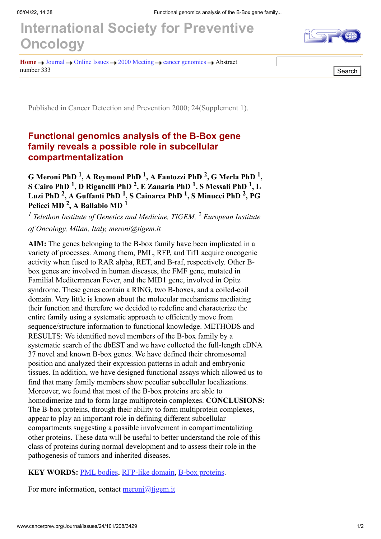## **[International Society for Preventive](http://www.cancerprev.org/) Oncology**



**[Home](http://www.cancerprev.org/)**  $\rightarrow$  [Journal](http://www.cancerprev.org/Journal/)  $\rightarrow$  [Online](http://www.cancerprev.org/Journal/Issues/) Issues  $\rightarrow$  2000 [Meeting](http://www.cancerprev.org/Journal/Issues/24/101/)  $\rightarrow$  cancer [genomics](http://www.cancerprev.org/Journal/Issues/24/101/208/)  $\rightarrow$  Abstract  $\sqrt{S\$ Search

Published in Cancer Detection and Prevention 2000; 24(Supplement 1).

## **Functional genomics analysis of the B-Box gene family reveals a possible role in subcellular compartmentalization**

**G Meroni PhD <sup>1</sup> , A Reymond PhD <sup>1</sup> , A Fantozzi PhD <sup>2</sup> , G Merla PhD <sup>1</sup> , S Cairo PhD <sup>1</sup> , D Riganelli PhD <sup>2</sup> , E Zanaria PhD <sup>1</sup> , S Messali PhD <sup>1</sup> , L Luzi PhD <sup>2</sup> , A Guffanti PhD <sup>1</sup> , S Cainarca PhD <sup>1</sup> , S Minucci PhD <sup>2</sup> , PG Pelicci MD <sup>2</sup> , A Ballabio MD <sup>1</sup>**

<sup>1</sup> Telethon Institute of Genetics and Medicine, TIGEM, <sup>2</sup> European Institute *of Oncology, Milan, Italy, meroni@tigem.it*

**AIM:** The genes belonging to the B-box family have been implicated in a variety of processes. Among them, PML, RFP, and Tif1 acquire oncogenic activity when fused to RAR alpha, RET, and B-raf, respectively. Other Bbox genes are involved in human diseases, the FMF gene, mutated in Familial Mediterranean Fever, and the MID1 gene, involved in Opitz syndrome. These genes contain a RING, two B-boxes, and a coiled-coil domain. Very little is known about the molecular mechanisms mediating their function and therefore we decided to redefine and characterize the entire family using a systematic approach to efficiently move from sequence/structure information to functional knowledge. METHODS and RESULTS: We identified novel members of the B-box family by a systematic search of the dbEST and we have collected the full-length cDNA 37 novel and known B-box genes. We have defined their chromosomal position and analyzed their expression patterns in adult and embryonic tissues. In addition, we have designed functional assays which allowed us to find that many family members show peculiar subcellular localizations. Moreover, we found that most of the B-box proteins are able to homodimerize and to form large multiprotein complexes. **CONCLUSIONS:** The B-box proteins, through their ability to form multiprotein complexes, appear to play an important role in defining different subcellular compartments suggesting a possible involvement in compartimentalizing other proteins. These data will be useful to better understand the role of this class of proteins during normal development and to assess their role in the pathogenesis of tumors and inherited diseases.

## **KEY WORDS:** [PML bodies](http://www.cancerprev.org/Search/query?q=PML+bodies), [RFP-like domain,](http://www.cancerprev.org/Search/query?q=RFP+like+domain) [B-box proteins](http://www.cancerprev.org/Search/query?q=B+box+proteins).

For more information, contact  $\frac{meroni(\omega)$  tigem.it